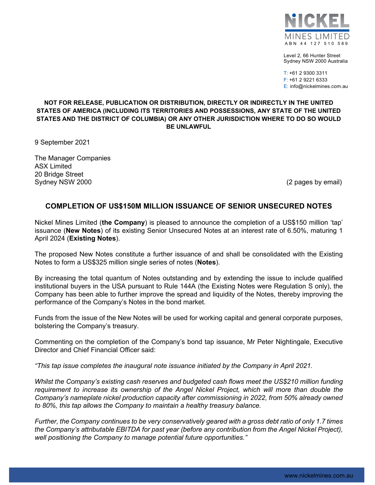

Level 2, 66 Hunter Street Sydney NSW 2000 Australia

T: +61 2 9300 3311 F: +61 2 9221 6333 E: info@nickelmines.com.au

## **NOT FOR RELEASE, PUBLICATION OR DISTRIBUTION, DIRECTLY OR INDIRECTLY IN THE UNITED STATES OF AMERICA (INCLUDING ITS TERRITORIES AND POSSESSIONS, ANY STATE OF THE UNITED STATES AND THE DISTRICT OF COLUMBIA) OR ANY OTHER JURISDICTION WHERE TO DO SO WOULD BE UNLAWFUL**

9 September 2021

The Manager Companies ASX Limited 20 Bridge Street Sydney NSW 2000 (2 pages by email)

## **COMPLETION OF US\$150M MILLION ISSUANCE OF SENIOR UNSECURED NOTES**

Nickel Mines Limited (**the Company**) is pleased to announce the completion of a US\$150 million 'tap' issuance (**New Notes**) of its existing Senior Unsecured Notes at an interest rate of 6.50%, maturing 1 April 2024 (**Existing Notes**).

The proposed New Notes constitute a further issuance of and shall be consolidated with the Existing Notes to form a US\$325 million single series of notes (**Notes**).

By increasing the total quantum of Notes outstanding and by extending the issue to include qualified institutional buyers in the USA pursuant to Rule 144A (the Existing Notes were Regulation S only), the Company has been able to further improve the spread and liquidity of the Notes, thereby improving the performance of the Company's Notes in the bond market.

Funds from the issue of the New Notes will be used for working capital and general corporate purposes, bolstering the Company's treasury.

Commenting on the completion of the Company's bond tap issuance, Mr Peter Nightingale, Executive Director and Chief Financial Officer said:

*"This tap issue completes the inaugural note issuance initiated by the Company in April 2021.*

*Whilst the Company's existing cash reserves and budgeted cash flows meet the US\$210 million funding requirement to increase its ownership of the Angel Nickel Project, which will more than double the Company's nameplate nickel production capacity after commissioning in 2022, from 50% already owned to 80%, this tap allows the Company to maintain a healthy treasury balance.*

*Further, the Company continues to be very conservatively geared with a gross debt ratio of only 1.7 times the Company's attributable EBITDA for past year (before any contribution from the Angel Nickel Project), well positioning the Company to manage potential future opportunities."*